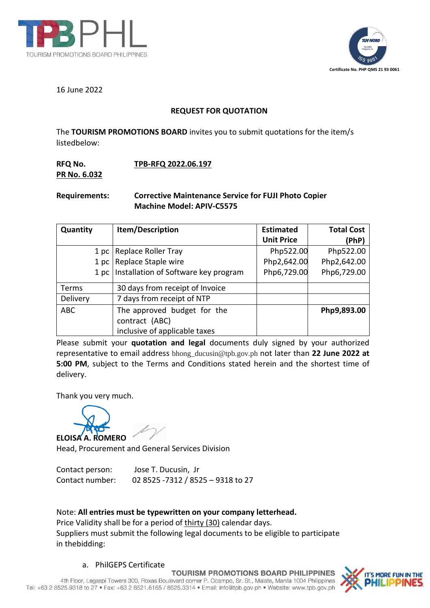



16 June 2022

## **REQUEST FOR QUOTATION**

The **TOURISM PROMOTIONS BOARD** invites you to submit quotations for the item/s listedbelow:

## **RFQ No. TPB-RFQ 2022.06.197 PR No. 6.032**

# **Requirements: Corrective Maintenance Service for FUJI Photo Copier Machine Model: APIV-C5575**

| Quantity   | Item/Description                     | <b>Estimated</b><br><b>Unit Price</b> | <b>Total Cost</b><br>(PhP) |
|------------|--------------------------------------|---------------------------------------|----------------------------|
| 1 pc       | Replace Roller Tray                  | Php522.00                             | Php522.00                  |
| 1 pc       | Replace Staple wire                  | Php2,642.00                           | Php2,642.00                |
| 1 pc       | Installation of Software key program | Php6,729.00                           | Php6,729.00                |
| Terms      | 30 days from receipt of Invoice      |                                       |                            |
| Delivery   | 7 days from receipt of NTP           |                                       |                            |
| <b>ABC</b> | The approved budget for the          |                                       | Php9,893.00                |
|            | contract (ABC)                       |                                       |                            |
|            | inclusive of applicable taxes        |                                       |                            |

Please submit your **quotation and legal** documents duly signed by your authorized representative to email address [bhong\\_ducusin@tpb.gov.ph](mailto:bhong_ducusin@tpb.gov.ph) not later than **22 June 2022 at 5:00 PM**, subject to the Terms and Conditions stated herein and the shortest time of delivery.

Thank you very much.



Head, Procurement and General Services Division

| Contact person: | Jose T. Ducusin, Jr               |
|-----------------|-----------------------------------|
| Contact number: | 02 8525 -7312 / 8525 - 9318 to 27 |

## Note: **All entries must be typewritten on your company letterhead.**

Price Validity shall be for a period of thirty (30) calendar days. Suppliers must submit the following legal documents to be eligible to participate in thebidding:

#### a. PhilGEPS Certificate

**TOURISM PROMOTIONS BOARD PHILIPPINES**